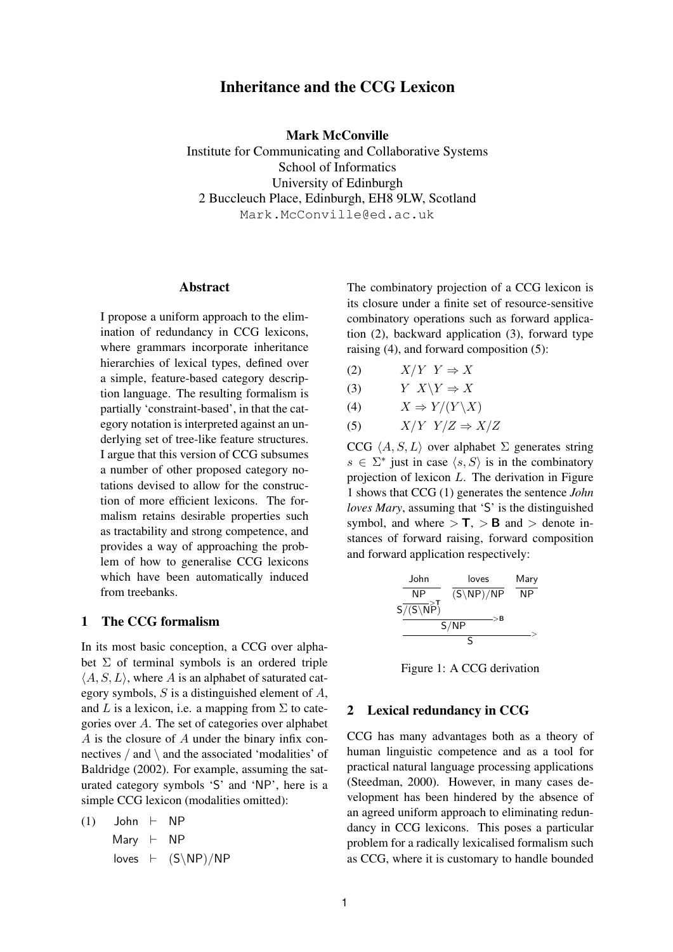# **Inheritance and the CCG Lexicon**

**Mark McConville**

Institute for Communicating and Collaborative Systems School of Informatics University of Edinburgh 2 Buccleuch Place, Edinburgh, EH8 9LW, Scotland Mark.McConville@ed.ac.uk

### **Abstract**

I propose a uniform approach to the elimination of redundancy in CCG lexicons, where grammars incorporate inheritance hierarchies of lexical types, defined over a simple, feature-based category description language. The resulting formalism is partially 'constraint-based', in that the category notation is interpreted against an underlying set of tree-like feature structures. I argue that this version of CCG subsumes a number of other proposed category notations devised to allow for the construction of more efficient lexicons. The formalism retains desirable properties such as tractability and strong competence, and provides a way of approaching the problem of how to generalise CCG lexicons which have been automatically induced from treebanks.

## **1 The CCG formalism**

In its most basic conception, a CCG over alphabet  $\Sigma$  of terminal symbols is an ordered triple  $\langle A, S, L \rangle$ , where A is an alphabet of saturated category symbols,  $S$  is a distinguished element of  $A$ , and L is a lexicon, i.e. a mapping from  $\Sigma$  to categories over A. The set of categories over alphabet A is the closure of A under the binary infix connectives  $/$  and  $\setminus$  and the associated 'modalities' of Baldridge (2002). For example, assuming the saturated category symbols 'S' and 'NP', here is a simple CCG lexicon (modalities omitted):

$$
(1) \quad \text{John} \quad \vdash \quad \text{NP}
$$
\n
$$
\text{Mary} \quad \vdash \quad \text{NP}
$$
\n
$$
\text{loves} \quad \vdash \quad (\text{S} \backslash \text{NP}) / \text{NP}
$$

The combinatory projection of a CCG lexicon is its closure under a finite set of resource-sensitive combinatory operations such as forward application (2), backward application (3), forward type raising (4), and forward composition (5):

- (2)  $X/Y Y \Rightarrow X$
- (3)  $Y \ X \ Y \ \Rightarrow X$
- (4)  $X \Rightarrow Y/(Y \backslash X)$

$$
(5) \tX/Y Y/Z \Rightarrow X/Z
$$

CCG  $\langle A, S, L \rangle$  over alphabet  $\Sigma$  generates string  $s \in \Sigma^*$  just in case  $\langle s, S \rangle$  is in the combinatory projection of lexicon  $L$ . The derivation in Figure 1 shows that CCG (1) generates the sentence *John loves Mary*, assuming that 'S' is the distinguished symbol, and where  $> \mathbf{T}$ ,  $> \mathbf{B}$  and  $>$  denote instances of forward raising, forward composition and forward application respectively:

| John                 | loves                 | Mary |
|----------------------|-----------------------|------|
| NP                   | $(S\backslash NP)/NP$ | MP   |
| $S/(S\backslash NP)$ | $S/NP$                | $>B$ |
| S/NP                 | $S$                   | $>B$ |

Figure 1: A CCG derivation

## **2 Lexical redundancy in CCG**

CCG has many advantages both as a theory of human linguistic competence and as a tool for practical natural language processing applications (Steedman, 2000). However, in many cases development has been hindered by the absence of an agreed uniform approach to eliminating redundancy in CCG lexicons. This poses a particular problem for a radically lexicalised formalism such as CCG, where it is customary to handle bounded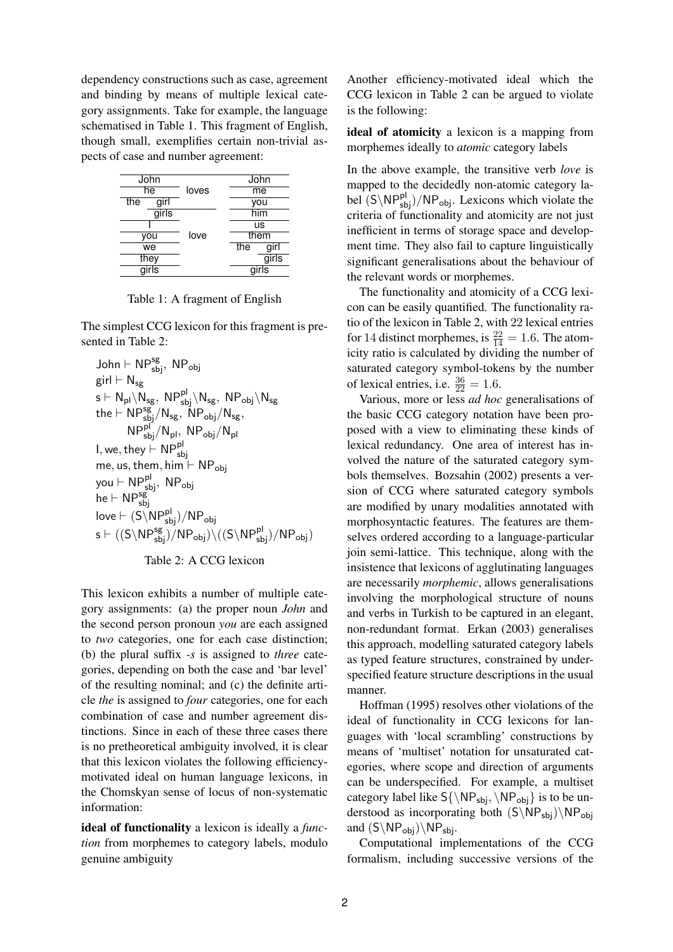dependency constructions such as case, agreement and binding by means of multiple lexical category assignments. Take for example, the language schematised in Table 1. This fragment of English, though small, exemplifies certain non-trivial aspects of case and number agreement:

| John  |      |       | John        |  |
|-------|------|-------|-------------|--|
| he    |      | loves | me          |  |
| the   | girl |       | you         |  |
| girls |      |       | him         |  |
|       |      |       | us          |  |
| you   |      | love  | them        |  |
| we    |      |       | the<br>girl |  |
| they  |      |       | girls       |  |
| airls |      |       | airls       |  |

Table 1: A fragment of English

The simplest CCG lexicon for this fragment is presented in Table 2:

$$
\begin{aligned} &\text{John}\vdash \mathsf{NP}^{\mathsf{sg}}_{\mathsf{sbj}},\ \mathsf{NP}_{\mathsf{obj}}\\ &\text{girl}\vdash \mathsf{N}_{\mathsf{sg}}\\ &\text{s}\vdash \mathsf{N}_{\mathsf{pl}}(\mathsf{N}_{\mathsf{sg}},\ \mathsf{NP}^{\mathsf{pl}}_{\mathsf{sbj}}\backslash \mathsf{N}_{\mathsf{sg}},\ \mathsf{NP}_{\mathsf{obj}}/\mathsf{N}_{\mathsf{sg}},\\ &\text{the}\vdash \mathsf{NP}^{\mathsf{sg}}_{\mathsf{sbj}}/\mathsf{N}_{\mathsf{pl}},\ \mathsf{NP}_{\mathsf{obj}}/\mathsf{N}_{\mathsf{pl}}\\ &\text{I},\text{we},\ \text{they}\vdash \mathsf{NP}^{\mathsf{pl}}_{\mathsf{sbj}}\\ &\text{me},\ \text{us},\ \text{them},\ \text{him}\vdash \mathsf{NP}_{\mathsf{obj}}\\ &\text{you}\vdash \mathsf{NP}^{\mathsf{pl}}_{\mathsf{sbj}},\ \mathsf{NP}_{\mathsf{obj}}\\ &\text{he}\vdash \mathsf{NP}^{\mathsf{sg}}_{\mathsf{sbj}}\\ &\text{love}\vdash (\mathsf{S}\backslash \mathsf{NP}^{\mathsf{pl}}_{\mathsf{sbj}})/\mathsf{NP}_{\mathsf{obj}}\\ &\text{s}\vdash ((\mathsf{S}\backslash \mathsf{NP}^{\mathsf{sg}}_{\mathsf{sbj}})/\mathsf{NP}_{\mathsf{obj}})\backslash ((\mathsf{S}\backslash \mathsf{NP}^{\mathsf{pl}}_{\mathsf{sbj}})/\mathsf{NP}_{\mathsf{obj}})\\ \end{aligned}
$$



This lexicon exhibits a number of multiple category assignments: (a) the proper noun *John* and the second person pronoun *you* are each assigned to *two* categories, one for each case distinction; (b) the plural suffix *-s* is assigned to *three* categories, depending on both the case and 'bar level' of the resulting nominal; and (c) the definite article *the* is assigned to *four* categories, one for each combination of case and number agreement distinctions. Since in each of these three cases there is no pretheoretical ambiguity involved, it is clear that this lexicon violates the following efficiencymotivated ideal on human language lexicons, in the Chomskyan sense of locus of non-systematic information:

**ideal of functionality** a lexicon is ideally a *function* from morphemes to category labels, modulo genuine ambiguity

Another efficiency-motivated ideal which the CCG lexicon in Table 2 can be argued to violate is the following:

**ideal of atomicity** a lexicon is a mapping from morphemes ideally to *atomic* category labels

In the above example, the transitive verb *love* is mapped to the decidedly non-atomic category label  $(S\backslash NP_{sbj}^{pl})/NP_{obj}$ . Lexicons which violate the criteria of functionality and atomicity are not just inefficient in terms of storage space and development time. They also fail to capture linguistically significant generalisations about the behaviour of the relevant words or morphemes.

The functionality and atomicity of a CCG lexicon can be easily quantified. The functionality ratio of the lexicon in Table 2, with 22 lexical entries for 14 distinct morphemes, is  $\frac{22}{14} = 1.6$ . The atomicity ratio is calculated by dividing the number of saturated category symbol-tokens by the number of lexical entries, i.e.  $\frac{36}{22} = 1.6$ .

Various, more or less *ad hoc* generalisations of the basic CCG category notation have been proposed with a view to eliminating these kinds of lexical redundancy. One area of interest has involved the nature of the saturated category symbols themselves. Bozsahin (2002) presents a version of CCG where saturated category symbols are modified by unary modalities annotated with morphosyntactic features. The features are themselves ordered according to a language-particular join semi-lattice. This technique, along with the insistence that lexicons of agglutinating languages are necessarily *morphemic*, allows generalisations involving the morphological structure of nouns and verbs in Turkish to be captured in an elegant, non-redundant format. Erkan (2003) generalises this approach, modelling saturated category labels as typed feature structures, constrained by underspecified feature structure descriptions in the usual manner.

Hoffman (1995) resolves other violations of the ideal of functionality in CCG lexicons for languages with 'local scrambling' constructions by means of 'multiset' notation for unsaturated categories, where scope and direction of arguments can be underspecified. For example, a multiset category label like  $S\{\NP_{\rm{obj}}\}$  is to be understood as incorporating both  $(S\NP_{sbi})\NP_{obi}$ and  $(S\backslash NP_{obj})\backslash NP_{sbj}$ .

Computational implementations of the CCG formalism, including successive versions of the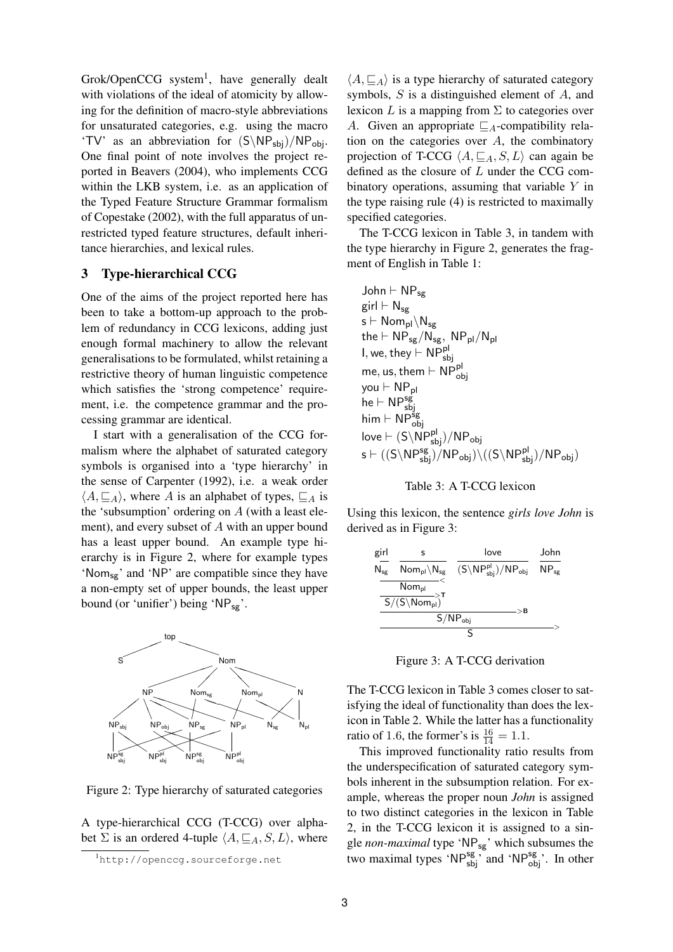Grok/OpenCCG system<sup>1</sup>, have generally dealt with violations of the ideal of atomicity by allowing for the definition of macro-style abbreviations for unsaturated categories, e.g. using the macro 'TV' as an abbreviation for  $(S\NP_{sbi})/NP_{obj}$ . One final point of note involves the project reported in Beavers (2004), who implements CCG within the LKB system, i.e. as an application of the Typed Feature Structure Grammar formalism of Copestake (2002), with the full apparatus of unrestricted typed feature structures, default inheritance hierarchies, and lexical rules.

# **3 Type-hierarchical CCG**

One of the aims of the project reported here has been to take a bottom-up approach to the problem of redundancy in CCG lexicons, adding just enough formal machinery to allow the relevant generalisations to be formulated, whilst retaining a restrictive theory of human linguistic competence which satisfies the 'strong competence' requirement, i.e. the competence grammar and the processing grammar are identical.

I start with a generalisation of the CCG formalism where the alphabet of saturated category symbols is organised into a 'type hierarchy' in the sense of Carpenter (1992), i.e. a weak order  $\langle A, \sqsubseteq_A \rangle$ , where A is an alphabet of types,  $\sqsubseteq_A$  is the 'subsumption' ordering on  $A$  (with a least element), and every subset of A with an upper bound has a least upper bound. An example type hierarchy is in Figure 2, where for example types 'Nom<sub>sg</sub>' and 'NP' are compatible since they have a non-empty set of upper bounds, the least upper bound (or 'unifier') being ' $NP_{sg}$ '.



Figure 2: Type hierarchy of saturated categories

A type-hierarchical CCG (T-CCG) over alphabet  $\Sigma$  is an ordered 4-tuple  $\langle A, \sqsubseteq_A, S, L \rangle$ , where

 $\langle A, \sqsubseteq_A \rangle$  is a type hierarchy of saturated category symbols, S is a distinguished element of A, and lexicon L is a mapping from  $\Sigma$  to categories over A. Given an appropriate  $\mathcal{L}_A$ -compatibility relation on the categories over  $A$ , the combinatory projection of T-CCG  $\langle A, \sqsubseteq_A, S, L \rangle$  can again be defined as the closure of L under the CCG combinatory operations, assuming that variable  $Y$  in the type raising rule (4) is restricted to maximally specified categories.

The T-CCG lexicon in Table 3, in tandem with the type hierarchy in Figure 2, generates the fragment of English in Table 1:

$$
\begin{aligned} &\text{John}\vdash \text{NP}_{\text{sg}}\\ &\text{girl}\vdash \text{N}_{\text{sg}}\\ &\text{s}\vdash \text{Nom}_{\text{pl}}\backslash \text{N}_{\text{sg}}\\ &\text{the}\vdash \text{NP}_{\text{sg}}/\text{N}_{\text{sg}},\ \text{NP}_{\text{pl}}/\text{N}_{\text{pl}}\\ &\text{I},\text{we},\text{they}\vdash \text{NP}_{\text{sbj}}^{\text{pl}}\\ &\text{me},\text{us},\text{them}\vdash \text{NP}_{\text{obj}}^{\text{sp}}\\ &\text{how}\vdash \text{NP}_{\text{obj}}^{\text{sg}}\\ &\text{lowe}\vdash (\text{S}\backslash \text{NP}_{\text{sbj}}^{\text{sp}})/\text{NP}_{\text{obj}}\\ &\text{s}\vdash ((\text{S}\backslash \text{NP}_{\text{sbj}}^{\text{sg}})/\text{NP}_{\text{obj}})\backslash ((\text{S}\backslash \text{NP}_{\text{sbj}}^{\text{pl}})/\text{NP}_{\text{obj}})\\ \end{aligned}
$$

Table 3: A T-CCG lexicon

Using this lexicon, the sentence *girls love John* is derived as in Figure 3:

| girl              |                                                                                   | love                                                                                | John                        |
|-------------------|-----------------------------------------------------------------------------------|-------------------------------------------------------------------------------------|-----------------------------|
| $N_{\texttt{se}}$ | $\mathsf{Nom}_{\mathsf{pl}}\backslash \mathsf{N}_{\mathsf{sg}}$                   | $(S\backslash \mathsf{NP}_{\mathsf{sbi}}^{\mathsf{pl}})/\mathsf{NP}_{\mathsf{obj}}$ | $\mathsf{NP}_{\mathsf{se}}$ |
|                   | Nompl                                                                             |                                                                                     |                             |
|                   | $\frac{1}{\mathsf{S}/(\mathsf{S}\backslash\mathsf{Nom}_{\mathsf{pl}})}\mathsf{T}$ | >B                                                                                  |                             |
|                   | $S/NP_{obj}$                                                                      |                                                                                     |                             |
|                   |                                                                                   |                                                                                     |                             |

Figure 3: A T-CCG derivation

The T-CCG lexicon in Table 3 comes closer to satisfying the ideal of functionality than does the lexicon in Table 2. While the latter has a functionality ratio of 1.6, the former's is  $\frac{16}{14} = 1.1$ .

This improved functionality ratio results from the underspecification of saturated category symbols inherent in the subsumption relation. For example, whereas the proper noun *John* is assigned to two distinct categories in the lexicon in Table 2, in the T-CCG lexicon it is assigned to a single *non-maximal* type 'NPsg' which subsumes the two maximal types 'NP $_{\text{sbj}}^{\text{sg}}$ , and 'NP $_{\text{obj}}^{\text{sg}}$ '. In other

<sup>1</sup>http://openccg.sourceforge.net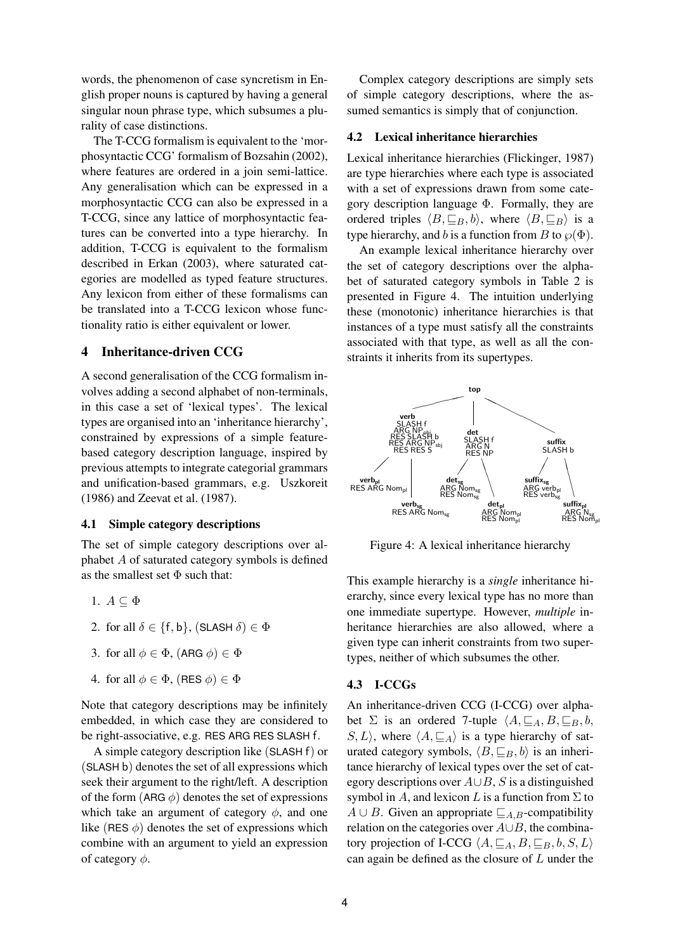words, the phenomenon of case syncretism in English proper nouns is captured by having a general singular noun phrase type, which subsumes a plurality of case distinctions.

The T-CCG formalism is equivalent to the 'morphosyntactic CCG' formalism of Bozsahin (2002), where features are ordered in a join semi-lattice. Any generalisation which can be expressed in a morphosyntactic CCG can also be expressed in a T-CCG, since any lattice of morphosyntactic features can be converted into a type hierarchy. In addition, T-CCG is equivalent to the formalism described in Erkan (2003), where saturated categories are modelled as typed feature structures. Any lexicon from either of these formalisms can be translated into a T-CCG lexicon whose functionality ratio is either equivalent or lower.

# **4 Inheritance-driven CCG**

A second generalisation of the CCG formalism involves adding a second alphabet of non-terminals, in this case a set of 'lexical types'. The lexical types are organised into an 'inheritance hierarchy', constrained by expressions of a simple featurebased category description language, inspired by previous attempts to integrate categorial grammars and unification-based grammars, e.g. Uszkoreit (1986) and Zeevat et al. (1987).

## **4.1 Simple category descriptions**

The set of simple category descriptions over alphabet A of saturated category symbols is defined as the smallest set  $\Phi$  such that:

- 1.  $A \subseteq \Phi$
- 2. for all  $\delta \in \{\mathsf{f},\mathsf{b}\},\allowbreak$  (SLASH  $\delta$ )  $\in \Phi$
- 3. for all  $\phi \in \Phi$ , (ARG  $\phi$ )  $\in \Phi$
- 4. for all  $\phi \in \Phi$ , (RES  $\phi$ )  $\in \Phi$

Note that category descriptions may be infinitely embedded, in which case they are considered to be right-associative, e.g. RES ARG RES SLASH f.

A simple category description like (SLASH f) or (SLASH b) denotes the set of all expressions which seek their argument to the right/left. A description of the form (ARG  $\phi$ ) denotes the set of expressions which take an argument of category  $\phi$ , and one like (RES  $\phi$ ) denotes the set of expressions which combine with an argument to yield an expression of category  $\phi$ .

Complex category descriptions are simply sets of simple category descriptions, where the assumed semantics is simply that of conjunction.

#### **4.2 Lexical inheritance hierarchies**

Lexical inheritance hierarchies (Flickinger, 1987) are type hierarchies where each type is associated with a set of expressions drawn from some category description language  $\Phi$ . Formally, they are ordered triples  $\langle B,\sqsubseteq_B,b\rangle$ , where  $\langle B,\sqsubseteq_B\rangle$  is a type hierarchy, and b is a function from B to  $\wp(\Phi)$ .

An example lexical inheritance hierarchy over the set of category descriptions over the alphabet of saturated category symbols in Table 2 is presented in Figure 4. The intuition underlying these (monotonic) inheritance hierarchies is that instances of a type must satisfy all the constraints associated with that type, as well as all the constraints it inherits from its supertypes.



Figure 4: A lexical inheritance hierarchy

This example hierarchy is a *single* inheritance hierarchy, since every lexical type has no more than one immediate supertype. However, *multiple* inheritance hierarchies are also allowed, where a given type can inherit constraints from two supertypes, neither of which subsumes the other.

#### **4.3 I-CCGs**

An inheritance-driven CCG (I-CCG) over alphabet  $\Sigma$  is an ordered 7-tuple  $\langle A,\sqsubseteq_A,B,\sqsubseteq_B,b,\rangle$  $S, L$ , where  $\langle A, \sqsubseteq_A \rangle$  is a type hierarchy of saturated category symbols,  $\langle B, \sqsubseteq_B, b \rangle$  is an inheritance hierarchy of lexical types over the set of category descriptions over  $A\cup B$ , S is a distinguished symbol in A, and lexicon L is a function from  $\Sigma$  to  $A ∪ B$ . Given an appropriate  $\mathcal{I}_{A,B}$ -compatibility relation on the categories over A∪B, the combinatory projection of I-CCG  $\langle A,\sqsubseteq_A,B,\sqsubseteq_B,b,S,L\rangle$ can again be defined as the closure of  $L$  under the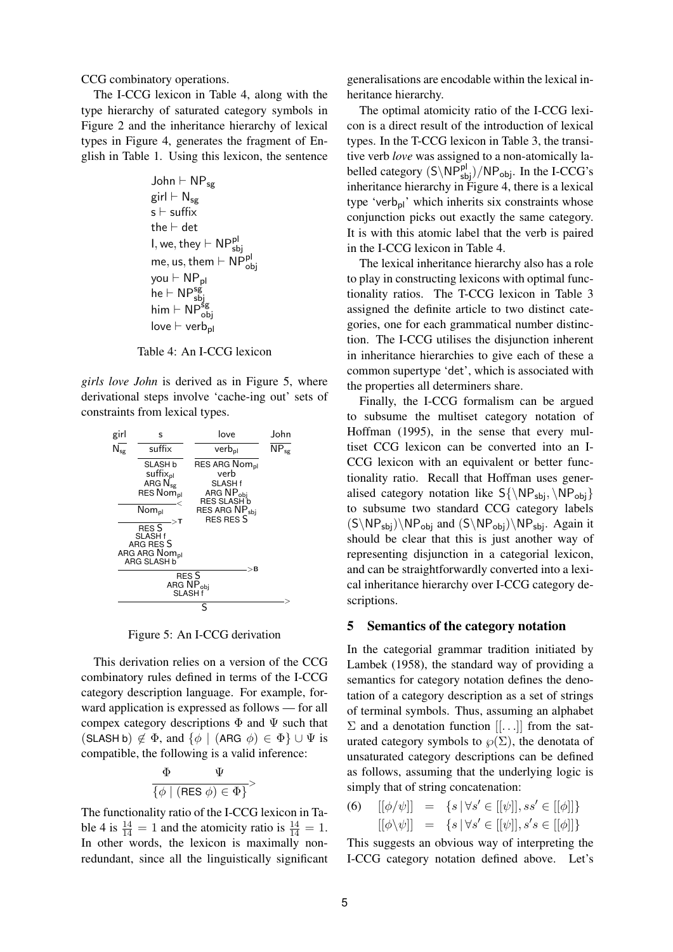CCG combinatory operations.

The I-CCG lexicon in Table 4, along with the type hierarchy of saturated category symbols in Figure 2 and the inheritance hierarchy of lexical types in Figure 4, generates the fragment of English in Table 1. Using this lexicon, the sentence

$$
\begin{aligned} &\text{John}\vdash \text{NP}_{\text{sg}}\\ &\text{girl}\vdash \text{N}_{\text{sg}}\\ &\text{s}\vdash \text{suffix}\\ &\text{the}\vdash \text{det}\\ &\text{I},\text{we},\text{they}\vdash \text{NP}_{\text{sbj}}^{\text{pl}}\\ &\text{me},\text{us},\text{them}\vdash \text{NP}_{\text{obj}}^{\text{pl}}\\ &\text{you}\vdash \text{NP}_{\text{sbj}}^{\text{sg}}\\ &\text{him}\vdash \text{NP}_{\text{obj}}^{\text{sg}}\\ &\text{love}\vdash \text{verb}_{\text{pl}} \end{aligned}
$$

Table 4: An I-CCG lexicon

*girls love John* is derived as in Figure 5, where derivational steps involve 'cache-ing out' sets of constraints from lexical types.

| girl                                      | s                                                                                                                                                                                                         | love                                                                                                                                        | John                               |  |  |
|-------------------------------------------|-----------------------------------------------------------------------------------------------------------------------------------------------------------------------------------------------------------|---------------------------------------------------------------------------------------------------------------------------------------------|------------------------------------|--|--|
| $\overline{\mathsf{N}_{\mathsf{sg}}}$     | suffix                                                                                                                                                                                                    | verb <sub>nl</sub>                                                                                                                          | $\overline{\text{NP}}_{\text{sg}}$ |  |  |
|                                           | SLASH b<br>suffix <sub>pl</sub><br>ARG N <sub>sg</sub><br>RES Nom <sub>pl</sub><br>$\mathsf{Nom}_{\mathsf{pl}}$<br>>T<br><b>RES S</b><br>SLASH f<br>ARG RES S<br>ARG ARG Nom <sub>pl</sub><br>ARG SLASH b | RES ARG Nom <sub>pl</sub><br>verb<br>SLASH f<br>ARG NP <sub>obi</sub><br>RES SLASH b<br>RES ARG NP <sub>sbi</sub><br><b>RES RES S</b><br>>B |                                    |  |  |
| RES S<br>ARG NP <sub>obi</sub><br>SLASH f |                                                                                                                                                                                                           |                                                                                                                                             |                                    |  |  |
| S                                         |                                                                                                                                                                                                           |                                                                                                                                             |                                    |  |  |

Figure 5: An I-CCG derivation

This derivation relies on a version of the CCG combinatory rules defined in terms of the I-CCG category description language. For example, forward application is expressed as follows — for all compex category descriptions  $\Phi$  and  $\Psi$  such that (SLASH b)  $\notin \Phi$ , and  $\{\phi \mid (\text{ARG } \phi) \in \Phi\} \cup \Psi$  is compatible, the following is a valid inference:

$$
\frac{\Phi\qquad \Psi}{\{\phi \mid (\text{RES } \phi) \in \Phi\}}>
$$

The functionality ratio of the I-CCG lexicon in Table 4 is  $\frac{14}{14} = 1$  and the atomicity ratio is  $\frac{14}{14} = 1$ . In other words, the lexicon is maximally nonredundant, since all the linguistically significant

generalisations are encodable within the lexical inheritance hierarchy.

The optimal atomicity ratio of the I-CCG lexicon is a direct result of the introduction of lexical types. In the T-CCG lexicon in Table 3, the transitive verb *love* was assigned to a non-atomically labelled category  $(S\backslash NP_{sbj}^{pl})/NP_{obj}$ . In the I-CCG's inheritance hierarchy in Figure 4, there is a lexical type 'verb<sub>pl</sub>' which inherits six constraints whose conjunction picks out exactly the same category. It is with this atomic label that the verb is paired in the I-CCG lexicon in Table 4.

The lexical inheritance hierarchy also has a role to play in constructing lexicons with optimal functionality ratios. The T-CCG lexicon in Table 3 assigned the definite article to two distinct categories, one for each grammatical number distinction. The I-CCG utilises the disjunction inherent in inheritance hierarchies to give each of these a common supertype 'det', which is associated with the properties all determiners share.

Finally, the I-CCG formalism can be argued to subsume the multiset category notation of Hoffman (1995), in the sense that every multiset CCG lexicon can be converted into an I-CCG lexicon with an equivalent or better functionality ratio. Recall that Hoffman uses generalised category notation like  $S\{\NP_{sbj}, \NP_{obj}\}$ to subsume two standard CCG category labels  $(S\NP_{sbj})\NP_{obj}$  and  $(S\NP_{obj})\NP_{sbj}$ . Again it should be clear that this is just another way of representing disjunction in a categorial lexicon, and can be straightforwardly converted into a lexical inheritance hierarchy over I-CCG category descriptions.

## **5 Semantics of the category notation**

In the categorial grammar tradition initiated by Lambek (1958), the standard way of providing a semantics for category notation defines the denotation of a category description as a set of strings of terminal symbols. Thus, assuming an alphabet  $\Sigma$  and a denotation function  $[[...]$  from the saturated category symbols to  $\wp(\Sigma)$ , the denotata of unsaturated category descriptions can be defined as follows, assuming that the underlying logic is simply that of string concatenation:

(6) 
$$
[[\phi/\psi]] = \{s \mid \forall s' \in [[\psi]], ss' \in [[\phi]]\}
$$

$$
[[\phi \setminus \psi]] = \{s \mid \forall s' \in [[\psi]], s's \in [[\phi]]\}
$$

This suggests an obvious way of interpreting the I-CCG category notation defined above. Let's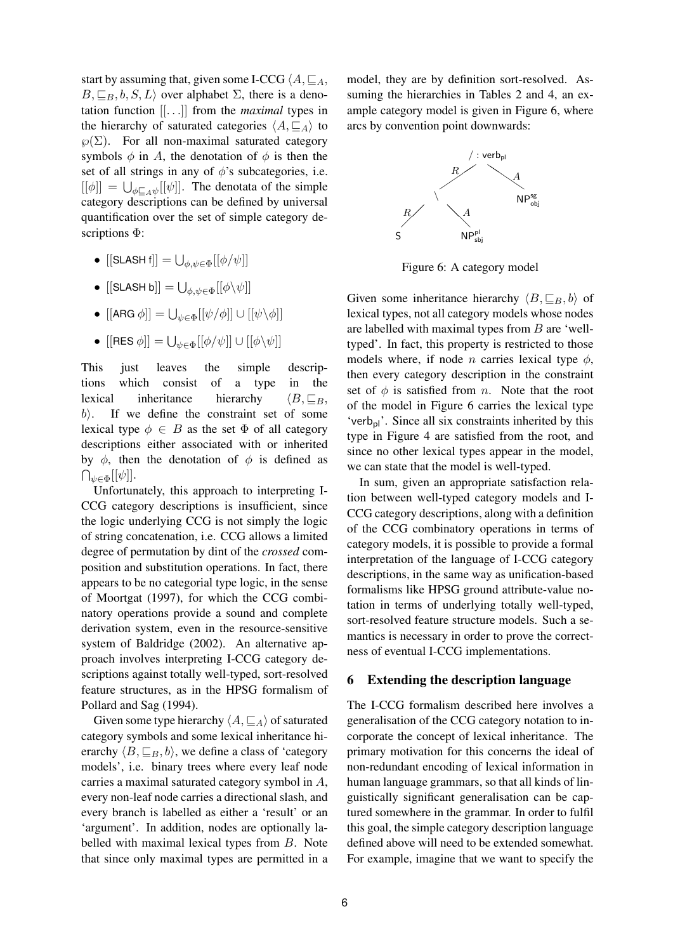start by assuming that, given some I-CCG  $\langle A, \sqsubseteq_A, \sqsubseteq_A,$  $B, \subseteq_B, b, S, L$  over alphabet  $\Sigma$ , there is a denotation function [[.. .]] from the *maximal* types in the hierarchy of saturated categories  $\langle A, \sqsubseteq_A \rangle$  to  $\wp(\Sigma)$ . For all non-maximal saturated category symbols  $\phi$  in A, the denotation of  $\phi$  is then the set of all strings in any of  $\phi$ 's subcategories, i.e.  $\left[\left[\phi\right]\right] = \bigcup_{\phi \sqsubseteq_A \psi} \left[\left[\psi\right]\right]$ . The denotata of the simple category descriptions can be defined by universal quantification over the set of simple category descriptions Φ:

- $\bullet \,\, \left [ [$ SLASH f $] \right ] = \bigcup_{\phi, \psi \in \Phi} [[\phi/\psi]]$
- $\bullet \,\, \left [ [$ SLASH b $] \right ] = \bigcup_{\phi, \psi \in \Phi} [ [ \phi \backslash \psi ] ]$
- $\bullet \,\, \left [ [\mathsf{ARG}\ \phi] \right ] = \bigcup_{\psi \in \Phi} \left [ \left [ \psi / \phi \right ] \right ] \cup \left [ \left [ \psi \backslash \phi \right ] \right ]$
- $\bullet \,\, \left [ [{\sf RES} \, \phi] \right ] = \bigcup_{\psi \in \Phi} \left [ [\phi / \psi] \right ] \cup \left [ [\phi \backslash \psi] \right ]$

This just leaves the simple descriptions which consist of a type in the lexical inheritance hierarchy  $\langle B, \sqsubseteq_B,$  $b$ . If we define the constraint set of some lexical type  $\phi \in B$  as the set  $\Phi$  of all category descriptions either associated with or inherited by  $\phi$ , then the denotation of  $\phi$  is defined as  $\bigcap_{\psi\in\Phi}[[\psi]].$ 

Unfortunately, this approach to interpreting I-CCG category descriptions is insufficient, since the logic underlying CCG is not simply the logic of string concatenation, i.e. CCG allows a limited degree of permutation by dint of the *crossed* composition and substitution operations. In fact, there appears to be no categorial type logic, in the sense of Moortgat (1997), for which the CCG combinatory operations provide a sound and complete derivation system, even in the resource-sensitive system of Baldridge (2002). An alternative approach involves interpreting I-CCG category descriptions against totally well-typed, sort-resolved feature structures, as in the HPSG formalism of Pollard and Sag (1994).

Given some type hierarchy  $\langle A, \sqsubseteq_A \rangle$  of saturated category symbols and some lexical inheritance hierarchy  $\langle B, \sqsubset_B, b \rangle$ , we define a class of 'category' models', i.e. binary trees where every leaf node carries a maximal saturated category symbol in A, every non-leaf node carries a directional slash, and every branch is labelled as either a 'result' or an 'argument'. In addition, nodes are optionally labelled with maximal lexical types from B. Note that since only maximal types are permitted in a

model, they are by definition sort-resolved. Assuming the hierarchies in Tables 2 and 4, an example category model is given in Figure 6, where arcs by convention point downwards:



Figure 6: A category model

Given some inheritance hierarchy  $\langle B, \sqsubseteq_B, b \rangle$  of lexical types, not all category models whose nodes are labelled with maximal types from  $B$  are 'welltyped'. In fact, this property is restricted to those models where, if node *n* carries lexical type  $\phi$ , then every category description in the constraint set of  $\phi$  is satisfied from *n*. Note that the root of the model in Figure 6 carries the lexical type 'verb<sub>pl</sub>'. Since all six constraints inherited by this type in Figure 4 are satisfied from the root, and since no other lexical types appear in the model, we can state that the model is well-typed.

In sum, given an appropriate satisfaction relation between well-typed category models and I-CCG category descriptions, along with a definition of the CCG combinatory operations in terms of category models, it is possible to provide a formal interpretation of the language of I-CCG category descriptions, in the same way as unification-based formalisms like HPSG ground attribute-value notation in terms of underlying totally well-typed, sort-resolved feature structure models. Such a semantics is necessary in order to prove the correctness of eventual I-CCG implementations.

## **6 Extending the description language**

The I-CCG formalism described here involves a generalisation of the CCG category notation to incorporate the concept of lexical inheritance. The primary motivation for this concerns the ideal of non-redundant encoding of lexical information in human language grammars, so that all kinds of linguistically significant generalisation can be captured somewhere in the grammar. In order to fulfil this goal, the simple category description language defined above will need to be extended somewhat. For example, imagine that we want to specify the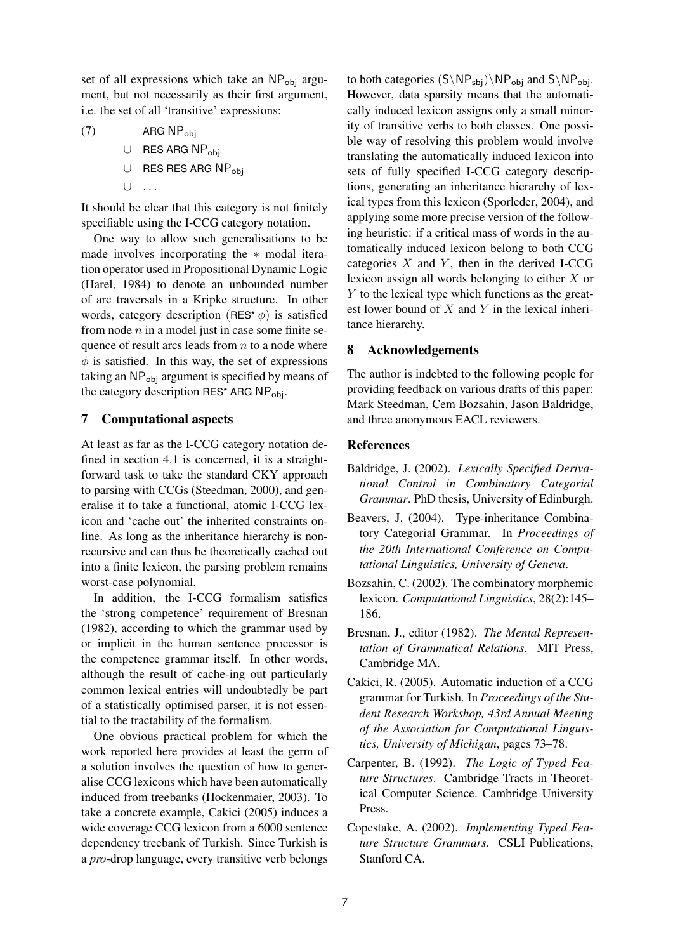set of all expressions which take an  $NP<sub>obj</sub>$  argument, but not necessarily as their first argument, i.e. the set of all 'transitive' expressions:

 $(7)$  ARG NP<sub>obi</sub> ∪ RES ARG NPobj ∪ RES RES ARG NPobj  $\cup$ 

It should be clear that this category is not finitely specifiable using the I-CCG category notation.

One way to allow such generalisations to be made involves incorporating the ∗ modal iteration operator used in Propositional Dynamic Logic (Harel, 1984) to denote an unbounded number of arc traversals in a Kripke structure. In other words, category description (RES<sup>\*</sup> $\phi$ ) is satisfied from node  $n$  in a model just in case some finite sequence of result arcs leads from  $n$  to a node where  $\phi$  is satisfied. In this way, the set of expressions taking an NP<sub>obi</sub> argument is specified by means of the category description RES\* ARG  $NP_{obj}$ .

# **7 Computational aspects**

At least as far as the I-CCG category notation defined in section 4.1 is concerned, it is a straightforward task to take the standard CKY approach to parsing with CCGs (Steedman, 2000), and generalise it to take a functional, atomic I-CCG lexicon and 'cache out' the inherited constraints online. As long as the inheritance hierarchy is nonrecursive and can thus be theoretically cached out into a finite lexicon, the parsing problem remains worst-case polynomial.

In addition, the I-CCG formalism satisfies the 'strong competence' requirement of Bresnan (1982), according to which the grammar used by or implicit in the human sentence processor is the competence grammar itself. In other words, although the result of cache-ing out particularly common lexical entries will undoubtedly be part of a statistically optimised parser, it is not essential to the tractability of the formalism.

One obvious practical problem for which the work reported here provides at least the germ of a solution involves the question of how to generalise CCG lexicons which have been automatically induced from treebanks (Hockenmaier, 2003). To take a concrete example, Cakici (2005) induces a wide coverage CCG lexicon from a 6000 sentence dependency treebank of Turkish. Since Turkish is a *pro*-drop language, every transitive verb belongs

to both categories  $(S\NP_{sbj})\NP_{obj}$  and  $S\NP_{obj}$ . However, data sparsity means that the automatically induced lexicon assigns only a small minority of transitive verbs to both classes. One possible way of resolving this problem would involve translating the automatically induced lexicon into sets of fully specified I-CCG category descriptions, generating an inheritance hierarchy of lexical types from this lexicon (Sporleder, 2004), and applying some more precise version of the following heuristic: if a critical mass of words in the automatically induced lexicon belong to both CCG categories  $X$  and  $Y$ , then in the derived I-CCG lexicon assign all words belonging to either X or Y to the lexical type which functions as the greatest lower bound of  $X$  and  $Y$  in the lexical inheritance hierarchy.

# **8 Acknowledgements**

The author is indebted to the following people for providing feedback on various drafts of this paper: Mark Steedman, Cem Bozsahin, Jason Baldridge, and three anonymous EACL reviewers.

# **References**

- Baldridge, J. (2002). *Lexically Specified Derivational Control in Combinatory Categorial Grammar*. PhD thesis, University of Edinburgh.
- Beavers, J. (2004). Type-inheritance Combinatory Categorial Grammar. In *Proceedings of the 20th International Conference on Computational Linguistics, University of Geneva*.
- Bozsahin, C. (2002). The combinatory morphemic lexicon. *Computational Linguistics*, 28(2):145– 186.
- Bresnan, J., editor (1982). *The Mental Representation of Grammatical Relations*. MIT Press, Cambridge MA.
- Cakici, R. (2005). Automatic induction of a CCG grammar for Turkish. In *Proceedings of the Student Research Workshop, 43rd Annual Meeting of the Association for Computational Linguistics, University of Michigan*, pages 73–78.
- Carpenter, B. (1992). *The Logic of Typed Feature Structures*. Cambridge Tracts in Theoretical Computer Science. Cambridge University Press.
- Copestake, A. (2002). *Implementing Typed Feature Structure Grammars*. CSLI Publications, Stanford CA.